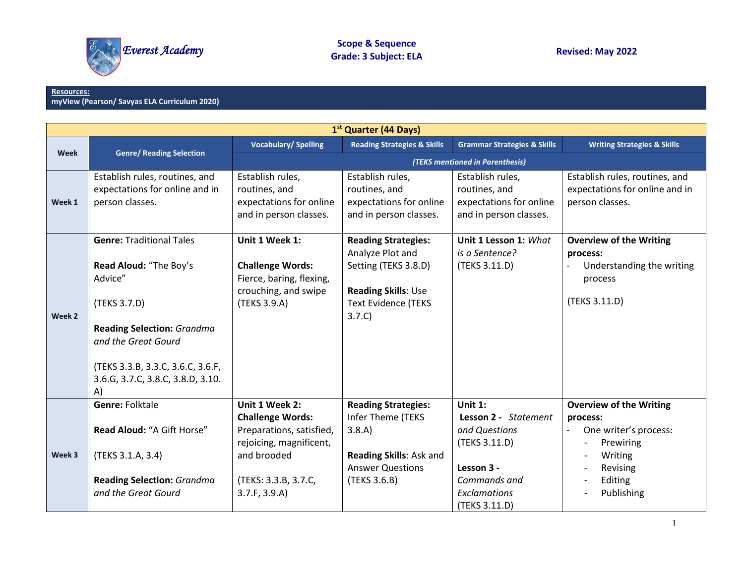

## **Resources: myView (Pearson/ Savyas ELA Curriculum 2020)**

|             | 1 <sup>st</sup> Quarter (44 Days)                                                                                                                                                                                                |                                                                                                                                                          |                                                                                                                                       |                                                                                                                                     |                                                                                                                                  |  |  |  |
|-------------|----------------------------------------------------------------------------------------------------------------------------------------------------------------------------------------------------------------------------------|----------------------------------------------------------------------------------------------------------------------------------------------------------|---------------------------------------------------------------------------------------------------------------------------------------|-------------------------------------------------------------------------------------------------------------------------------------|----------------------------------------------------------------------------------------------------------------------------------|--|--|--|
|             |                                                                                                                                                                                                                                  | <b>Vocabulary/Spelling</b>                                                                                                                               | <b>Reading Strategies &amp; Skills</b>                                                                                                | <b>Grammar Strategies &amp; Skills</b>                                                                                              | <b>Writing Strategies &amp; Skills</b>                                                                                           |  |  |  |
| <b>Week</b> | <b>Genre/ Reading Selection</b>                                                                                                                                                                                                  |                                                                                                                                                          |                                                                                                                                       | (TEKS mentioned in Parenthesis)                                                                                                     |                                                                                                                                  |  |  |  |
| Week 1      | Establish rules, routines, and<br>expectations for online and in<br>person classes.                                                                                                                                              | Establish rules,<br>routines, and<br>expectations for online<br>and in person classes.                                                                   | Establish rules,<br>routines, and<br>expectations for online<br>and in person classes.                                                | Establish rules,<br>routines, and<br>expectations for online<br>and in person classes.                                              | Establish rules, routines, and<br>expectations for online and in<br>person classes.                                              |  |  |  |
| Week 2      | <b>Genre: Traditional Tales</b><br>Read Aloud: "The Boy's<br>Advice"<br>(TEKS 3.7.D)<br><b>Reading Selection: Grandma</b><br>and the Great Gourd<br>(TEKS 3.3.B, 3.3.C, 3.6.C, 3.6.F,<br>3.6.G, 3.7.C, 3.8.C, 3.8.D, 3.10.<br>A) | Unit 1 Week 1:<br><b>Challenge Words:</b><br>Fierce, baring, flexing,<br>crouching, and swipe<br>(TEKS 3.9.A)                                            | <b>Reading Strategies:</b><br>Analyze Plot and<br>Setting (TEKS 3.8.D)<br>Reading Skills: Use<br><b>Text Evidence (TEKS</b><br>3.7.C) | Unit 1 Lesson 1: What<br>is a Sentence?<br>(TEKS 3.11.D)                                                                            | <b>Overview of the Writing</b><br>process:<br>Understanding the writing<br>process<br>(TEKS 3.11.D)                              |  |  |  |
| Week 3      | <b>Genre: Folktale</b><br>Read Aloud: "A Gift Horse"<br>(TEKS 3.1.A, 3.4)<br><b>Reading Selection: Grandma</b><br>and the Great Gourd                                                                                            | Unit 1 Week 2:<br><b>Challenge Words:</b><br>Preparations, satisfied,<br>rejoicing, magnificent,<br>and brooded<br>(TEKS: 3.3.B, 3.7.C,<br>3.7.F, 3.9.A) | <b>Reading Strategies:</b><br>Infer Theme (TEKS<br>3.8.A)<br>Reading Skills: Ask and<br><b>Answer Questions</b><br>(TEKS 3.6.B)       | Unit $1$ :<br>Lesson 2 - Statement<br>and Questions<br>(TEKS 3.11.D)<br>Lesson 3 -<br>Commands and<br>Exclamations<br>(TEKS 3.11.D) | <b>Overview of the Writing</b><br>process:<br>One writer's process:<br>Prewiring<br>Writing<br>Revising<br>Editing<br>Publishing |  |  |  |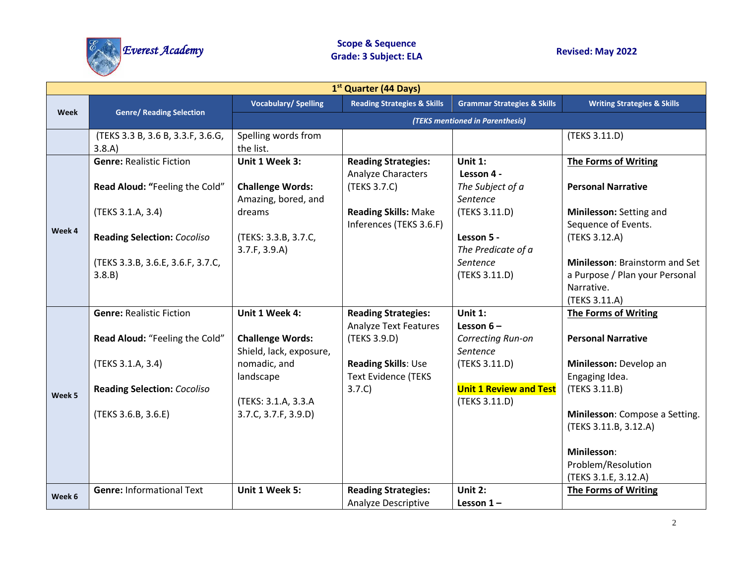

|        | 1 <sup>st</sup> Quarter (44 Days)           |                                                    |                                                        |                                                |                                                                                                 |  |  |  |
|--------|---------------------------------------------|----------------------------------------------------|--------------------------------------------------------|------------------------------------------------|-------------------------------------------------------------------------------------------------|--|--|--|
| Week   |                                             | <b>Vocabulary/Spelling</b>                         | <b>Reading Strategies &amp; Skills</b>                 | <b>Grammar Strategies &amp; Skills</b>         | <b>Writing Strategies &amp; Skills</b>                                                          |  |  |  |
|        | <b>Genre/ Reading Selection</b>             |                                                    |                                                        | (TEKS mentioned in Parenthesis)                |                                                                                                 |  |  |  |
|        | (TEKS 3.3 B, 3.6 B, 3.3.F, 3.6.G,<br>3.8.A) | Spelling words from<br>the list.                   |                                                        |                                                | (TEKS 3.11.D)                                                                                   |  |  |  |
|        | <b>Genre: Realistic Fiction</b>             | Unit 1 Week 3:                                     | <b>Reading Strategies:</b><br>Analyze Characters       | Unit $1$ :<br>Lesson 4 -                       | <b>The Forms of Writing</b>                                                                     |  |  |  |
|        | Read Aloud: "Feeling the Cold"              | <b>Challenge Words:</b><br>Amazing, bored, and     | (TEKS 3.7.C)                                           | The Subject of a<br>Sentence                   | <b>Personal Narrative</b>                                                                       |  |  |  |
|        | (TEKS 3.1.A, 3.4)                           | dreams                                             | <b>Reading Skills: Make</b><br>Inferences (TEKS 3.6.F) | (TEKS 3.11.D)                                  | Minilesson: Setting and<br>Sequence of Events.                                                  |  |  |  |
| Week 4 | <b>Reading Selection: Cocoliso</b>          | (TEKS: 3.3.B, 3.7.C,<br>3.7.F, 3.9.A)              |                                                        | Lesson 5 -<br>The Predicate of a               | (TEKS 3.12.A)                                                                                   |  |  |  |
|        | (TEKS 3.3.B, 3.6.E, 3.6.F, 3.7.C,<br>3.8.B) |                                                    |                                                        | Sentence<br>(TEKS 3.11.D)                      | Minilesson: Brainstorm and Set<br>a Purpose / Plan your Personal<br>Narrative.<br>(TEKS 3.11.A) |  |  |  |
|        | <b>Genre: Realistic Fiction</b>             | Unit 1 Week 4:                                     | <b>Reading Strategies:</b>                             | Unit $1$ :                                     | <b>The Forms of Writing</b>                                                                     |  |  |  |
|        |                                             |                                                    | <b>Analyze Text Features</b>                           | Lesson $6-$                                    |                                                                                                 |  |  |  |
|        | Read Aloud: "Feeling the Cold"              | <b>Challenge Words:</b><br>Shield, lack, exposure, | (TEKS 3.9.D)                                           | Correcting Run-on<br>Sentence                  | <b>Personal Narrative</b>                                                                       |  |  |  |
|        | (TEKS 3.1.A, 3.4)                           | nomadic, and<br>landscape                          | Reading Skills: Use<br><b>Text Evidence (TEKS</b>      | (TEKS 3.11.D)                                  | Minilesson: Develop an<br>Engaging Idea.                                                        |  |  |  |
| Week 5 | <b>Reading Selection: Cocoliso</b>          | (TEKS: 3.1.A, 3.3.A                                | 3.7.C)                                                 | <b>Unit 1 Review and Test</b><br>(TEKS 3.11.D) | (TEKS 3.11.B)                                                                                   |  |  |  |
|        | (TEKS 3.6.B, 3.6.E)                         | 3.7.C, 3.7.F, 3.9.D)                               |                                                        |                                                | Minilesson: Compose a Setting.<br>(TEKS 3.11.B, 3.12.A)                                         |  |  |  |
|        |                                             |                                                    |                                                        |                                                | Minilesson:                                                                                     |  |  |  |
|        |                                             |                                                    |                                                        |                                                | Problem/Resolution                                                                              |  |  |  |
|        |                                             |                                                    |                                                        |                                                | (TEKS 3.1.E, 3.12.A)                                                                            |  |  |  |
| Week 6 | <b>Genre: Informational Text</b>            | Unit 1 Week 5:                                     | <b>Reading Strategies:</b>                             | Unit 2:                                        | The Forms of Writing                                                                            |  |  |  |
|        |                                             |                                                    | <b>Analyze Descriptive</b>                             | Lesson $1-$                                    |                                                                                                 |  |  |  |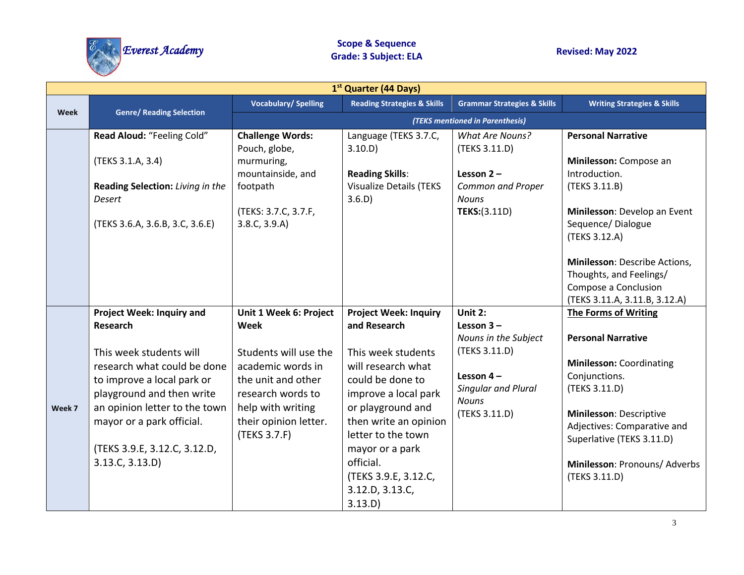

|             | 1 <sup>st</sup> Quarter (44 Days)                                                                                                                                                                                                                                                         |                                                                                                                                                                                       |                                                                                                                                                                                                                                                                                               |                                                                                                                                         |                                                                                                                                                                                                                                                                                  |  |  |  |
|-------------|-------------------------------------------------------------------------------------------------------------------------------------------------------------------------------------------------------------------------------------------------------------------------------------------|---------------------------------------------------------------------------------------------------------------------------------------------------------------------------------------|-----------------------------------------------------------------------------------------------------------------------------------------------------------------------------------------------------------------------------------------------------------------------------------------------|-----------------------------------------------------------------------------------------------------------------------------------------|----------------------------------------------------------------------------------------------------------------------------------------------------------------------------------------------------------------------------------------------------------------------------------|--|--|--|
|             |                                                                                                                                                                                                                                                                                           | <b>Vocabulary/Spelling</b>                                                                                                                                                            | <b>Reading Strategies &amp; Skills</b>                                                                                                                                                                                                                                                        | <b>Grammar Strategies &amp; Skills</b>                                                                                                  | <b>Writing Strategies &amp; Skills</b>                                                                                                                                                                                                                                           |  |  |  |
| <b>Week</b> | <b>Genre/ Reading Selection</b>                                                                                                                                                                                                                                                           |                                                                                                                                                                                       |                                                                                                                                                                                                                                                                                               | (TEKS mentioned in Parenthesis)                                                                                                         |                                                                                                                                                                                                                                                                                  |  |  |  |
|             | Read Aloud: "Feeling Cold"<br>(TEKS 3.1.A, 3.4)<br>Reading Selection: Living in the<br>Desert<br>(TEKS 3.6.A, 3.6.B, 3.C, 3.6.E)                                                                                                                                                          | <b>Challenge Words:</b><br>Pouch, globe,<br>murmuring,<br>mountainside, and<br>footpath<br>(TEKS: 3.7.C, 3.7.F,<br>3.8.C, 3.9.A)                                                      | Language (TEKS 3.7.C,<br>3.10.D<br><b>Reading Skills:</b><br><b>Visualize Details (TEKS</b><br>3.6.D)                                                                                                                                                                                         | <b>What Are Nouns?</b><br>(TEKS 3.11.D)<br>Lesson $2 -$<br>Common and Proper<br><b>Nouns</b><br><b>TEKS:(3.11D)</b>                     | <b>Personal Narrative</b><br>Minilesson: Compose an<br>Introduction.<br>(TEKS 3.11.B)<br>Minilesson: Develop an Event<br>Sequence/Dialogue<br>(TEKS 3.12.A)<br>Minilesson: Describe Actions,<br>Thoughts, and Feelings/<br>Compose a Conclusion<br>(TEKS 3.11.A, 3.11.B, 3.12.A) |  |  |  |
| Week 7      | <b>Project Week: Inquiry and</b><br><b>Research</b><br>This week students will<br>research what could be done<br>to improve a local park or<br>playground and then write<br>an opinion letter to the town<br>mayor or a park official.<br>(TEKS 3.9.E, 3.12.C, 3.12.D,<br>3.13.C, 3.13.D) | Unit 1 Week 6: Project<br>Week<br>Students will use the<br>academic words in<br>the unit and other<br>research words to<br>help with writing<br>their opinion letter.<br>(TEKS 3.7.F) | <b>Project Week: Inquiry</b><br>and Research<br>This week students<br>will research what<br>could be done to<br>improve a local park<br>or playground and<br>then write an opinion<br>letter to the town<br>mayor or a park<br>official.<br>(TEKS 3.9.E, 3.12.C,<br>3.12.D, 3.13.C,<br>3.13.D | Unit 2:<br>Lesson $3 -$<br>Nouns in the Subject<br>(TEKS 3.11.D)<br>Lesson $4-$<br>Singular and Plural<br><b>Nouns</b><br>(TEKS 3.11.D) | <b>The Forms of Writing</b><br><b>Personal Narrative</b><br><b>Minilesson: Coordinating</b><br>Conjunctions.<br>(TEKS 3.11.D)<br>Minilesson: Descriptive<br>Adjectives: Comparative and<br>Superlative (TEKS 3.11.D)<br>Minilesson: Pronouns/ Adverbs<br>(TEKS 3.11.D)           |  |  |  |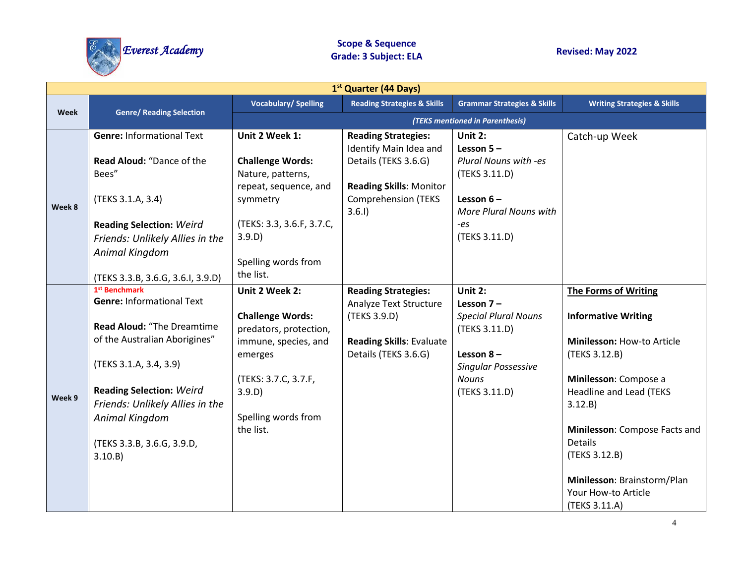

|        | 1 <sup>st</sup> Quarter (44 Days)                                                                                                                                                                                                                                                       |                                                                                                                                                                              |                                                                                                                                 |                                                                                                                                                        |                                                                                                                                                                                                                                                                                                                           |  |  |
|--------|-----------------------------------------------------------------------------------------------------------------------------------------------------------------------------------------------------------------------------------------------------------------------------------------|------------------------------------------------------------------------------------------------------------------------------------------------------------------------------|---------------------------------------------------------------------------------------------------------------------------------|--------------------------------------------------------------------------------------------------------------------------------------------------------|---------------------------------------------------------------------------------------------------------------------------------------------------------------------------------------------------------------------------------------------------------------------------------------------------------------------------|--|--|
| Week   |                                                                                                                                                                                                                                                                                         | <b>Vocabulary/Spelling</b>                                                                                                                                                   | <b>Reading Strategies &amp; Skills</b>                                                                                          | <b>Grammar Strategies &amp; Skills</b>                                                                                                                 | <b>Writing Strategies &amp; Skills</b>                                                                                                                                                                                                                                                                                    |  |  |
|        | <b>Genre/ Reading Selection</b>                                                                                                                                                                                                                                                         |                                                                                                                                                                              |                                                                                                                                 | (TEKS mentioned in Parenthesis)                                                                                                                        |                                                                                                                                                                                                                                                                                                                           |  |  |
|        | <b>Genre: Informational Text</b>                                                                                                                                                                                                                                                        | Unit 2 Week 1:                                                                                                                                                               | <b>Reading Strategies:</b>                                                                                                      | Unit 2:                                                                                                                                                | Catch-up Week                                                                                                                                                                                                                                                                                                             |  |  |
| Week 8 | Read Aloud: "Dance of the<br>Bees"<br>(TEKS 3.1.A, 3.4)                                                                                                                                                                                                                                 | <b>Challenge Words:</b><br>Nature, patterns,<br>repeat, sequence, and<br>symmetry                                                                                            | Identify Main Idea and<br>Details (TEKS 3.6.G)<br><b>Reading Skills: Monitor</b><br><b>Comprehension (TEKS</b>                  | Lesson $5 -$<br>Plural Nouns with -es<br>(TEKS 3.11.D)<br>Lesson $6-$                                                                                  |                                                                                                                                                                                                                                                                                                                           |  |  |
|        | <b>Reading Selection: Weird</b><br>Friends: Unlikely Allies in the<br>Animal Kingdom<br>(TEKS 3.3.B, 3.6.G, 3.6.I, 3.9.D)                                                                                                                                                               | (TEKS: 3.3, 3.6.F, 3.7.C,<br>3.9.D)<br>Spelling words from<br>the list.                                                                                                      | 3.6.1                                                                                                                           | More Plural Nouns with<br>-es<br>(TEKS 3.11.D)                                                                                                         |                                                                                                                                                                                                                                                                                                                           |  |  |
| Week 9 | 1 <sup>st</sup> Benchmark<br><b>Genre: Informational Text</b><br>Read Aloud: "The Dreamtime<br>of the Australian Aborigines"<br>(TEKS 3.1.A, 3.4, 3.9)<br><b>Reading Selection: Weird</b><br>Friends: Unlikely Allies in the<br>Animal Kingdom<br>(TEKS 3.3.B, 3.6.G, 3.9.D,<br>3.10.B) | Unit 2 Week 2:<br><b>Challenge Words:</b><br>predators, protection,<br>immune, species, and<br>emerges<br>(TEKS: 3.7.C, 3.7.F,<br>3.9.D)<br>Spelling words from<br>the list. | <b>Reading Strategies:</b><br>Analyze Text Structure<br>(TEKS 3.9.D)<br><b>Reading Skills: Evaluate</b><br>Details (TEKS 3.6.G) | Unit $2:$<br>Lesson $7-$<br><b>Special Plural Nouns</b><br>(TEKS 3.11.D)<br>Lesson $8-$<br><b>Singular Possessive</b><br><b>Nouns</b><br>(TEKS 3.11.D) | <b>The Forms of Writing</b><br><b>Informative Writing</b><br>Minilesson: How-to Article<br>(TEKS 3.12.B)<br>Minilesson: Compose a<br><b>Headline and Lead (TEKS</b><br>3.12.B)<br>Minilesson: Compose Facts and<br><b>Details</b><br>(TEKS 3.12.B)<br>Minilesson: Brainstorm/Plan<br>Your How-to Article<br>(TEKS 3.11.A) |  |  |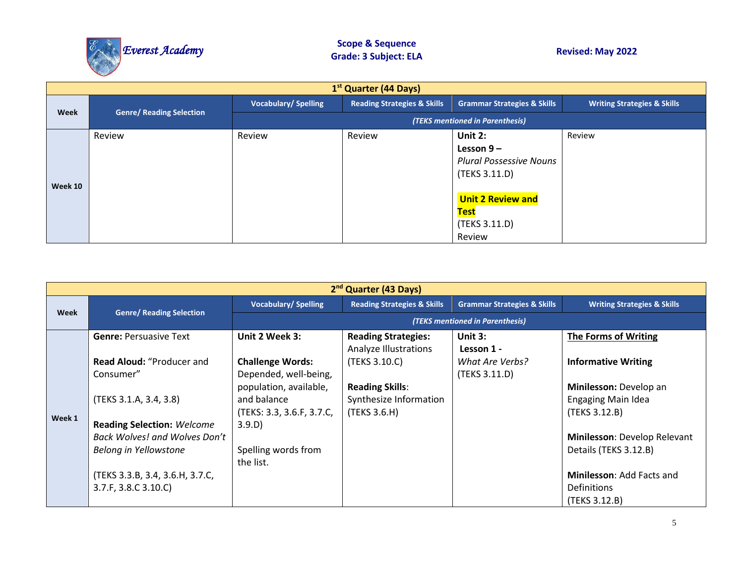

|         | 1 <sup>st</sup> Quarter (44 Days) |                            |                                        |                                        |                                        |  |  |  |  |
|---------|-----------------------------------|----------------------------|----------------------------------------|----------------------------------------|----------------------------------------|--|--|--|--|
| Week    | <b>Genre/ Reading Selection</b>   | <b>Vocabulary/Spelling</b> | <b>Reading Strategies &amp; Skills</b> | <b>Grammar Strategies &amp; Skills</b> | <b>Writing Strategies &amp; Skills</b> |  |  |  |  |
|         |                                   |                            |                                        | (TEKS mentioned in Parenthesis)        |                                        |  |  |  |  |
|         | Review                            | Review                     | Review                                 | Unit 2:                                | Review                                 |  |  |  |  |
|         |                                   |                            |                                        | Lesson $9-$                            |                                        |  |  |  |  |
|         |                                   |                            |                                        | <b>Plural Possessive Nouns</b>         |                                        |  |  |  |  |
| Week 10 |                                   |                            |                                        | (TEKS 3.11.D)                          |                                        |  |  |  |  |
|         |                                   |                            |                                        | <b>Unit 2 Review and</b>               |                                        |  |  |  |  |
|         |                                   |                            |                                        | <b>Test</b>                            |                                        |  |  |  |  |
|         |                                   |                            |                                        | (TEKS 3.11.D)                          |                                        |  |  |  |  |
|         |                                   |                            |                                        | Review                                 |                                        |  |  |  |  |

|        | 2 <sup>nd</sup> Quarter (43 Days) |                            |                                        |                                        |                                        |  |  |  |
|--------|-----------------------------------|----------------------------|----------------------------------------|----------------------------------------|----------------------------------------|--|--|--|
|        | <b>Genre/ Reading Selection</b>   | <b>Vocabulary/Spelling</b> | <b>Reading Strategies &amp; Skills</b> | <b>Grammar Strategies &amp; Skills</b> | <b>Writing Strategies &amp; Skills</b> |  |  |  |
| Week   |                                   |                            |                                        | (TEKS mentioned in Parenthesis)        |                                        |  |  |  |
|        | <b>Genre: Persuasive Text</b>     | Unit 2 Week 3:             | <b>Reading Strategies:</b>             | Unit $3:$                              | The Forms of Writing                   |  |  |  |
|        |                                   |                            | <b>Analyze Illustrations</b>           | Lesson 1 -                             |                                        |  |  |  |
|        | Read Aloud: "Producer and         | <b>Challenge Words:</b>    | (TEKS 3.10.C)                          | What Are Verbs?                        | <b>Informative Writing</b>             |  |  |  |
|        | Consumer"                         | Depended, well-being,      |                                        | (TEKS 3.11.D)                          |                                        |  |  |  |
|        |                                   | population, available,     | <b>Reading Skills:</b>                 |                                        | Minilesson: Develop an                 |  |  |  |
|        | (TEKS 3.1.A, 3.4, 3.8)            | and balance                | Synthesize Information                 |                                        | <b>Engaging Main Idea</b>              |  |  |  |
| Week 1 |                                   | (TEKS: 3.3, 3.6.F, 3.7.C,  | (TEKS 3.6.H)                           |                                        | (TEKS 3.12.B)                          |  |  |  |
|        | <b>Reading Selection: Welcome</b> | 3.9.D)                     |                                        |                                        |                                        |  |  |  |
|        | Back Wolves! and Wolves Don't     |                            |                                        |                                        | Minilesson: Develop Relevant           |  |  |  |
|        | Belong in Yellowstone             | Spelling words from        |                                        |                                        | Details (TEKS 3.12.B)                  |  |  |  |
|        |                                   | the list.                  |                                        |                                        |                                        |  |  |  |
|        | (TEKS 3.3.B, 3.4, 3.6.H, 3.7.C,   |                            |                                        |                                        | <b>Minilesson: Add Facts and</b>       |  |  |  |
|        | 3.7.F, 3.8.C 3.10.C)              |                            |                                        |                                        | Definitions                            |  |  |  |
|        |                                   |                            |                                        |                                        | (TEKS 3.12.B)                          |  |  |  |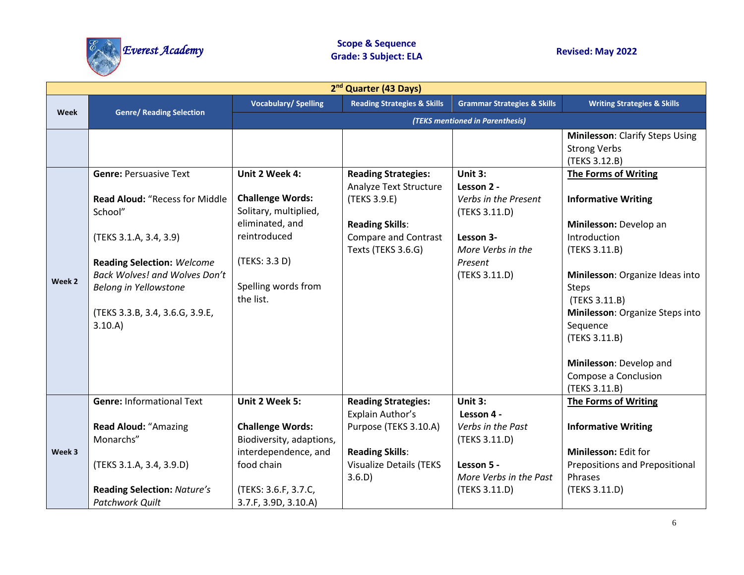

| 2 <sup>nd</sup> Quarter (43 Days) |                                                                                                                                                                                                                         |                                                                                                                                          |                                                                                                                       |                                                                                                                   |                                                                                                                                                                                                                                                                                               |  |  |
|-----------------------------------|-------------------------------------------------------------------------------------------------------------------------------------------------------------------------------------------------------------------------|------------------------------------------------------------------------------------------------------------------------------------------|-----------------------------------------------------------------------------------------------------------------------|-------------------------------------------------------------------------------------------------------------------|-----------------------------------------------------------------------------------------------------------------------------------------------------------------------------------------------------------------------------------------------------------------------------------------------|--|--|
| Week                              |                                                                                                                                                                                                                         | <b>Vocabulary/Spelling</b>                                                                                                               | <b>Reading Strategies &amp; Skills</b>                                                                                | <b>Grammar Strategies &amp; Skills</b>                                                                            | <b>Writing Strategies &amp; Skills</b>                                                                                                                                                                                                                                                        |  |  |
|                                   | <b>Genre/ Reading Selection</b>                                                                                                                                                                                         |                                                                                                                                          |                                                                                                                       | (TEKS mentioned in Parenthesis)                                                                                   |                                                                                                                                                                                                                                                                                               |  |  |
|                                   | <b>Genre: Persuasive Text</b>                                                                                                                                                                                           | Unit 2 Week 4:                                                                                                                           | <b>Reading Strategies:</b>                                                                                            | Unit 3:                                                                                                           | Minilesson: Clarify Steps Using<br><b>Strong Verbs</b><br>(TEKS 3.12.B)<br><b>The Forms of Writing</b>                                                                                                                                                                                        |  |  |
| Week 2                            | Read Aloud: "Recess for Middle<br>School"<br>(TEKS 3.1.A, 3.4, 3.9)<br><b>Reading Selection: Welcome</b><br><b>Back Wolves! and Wolves Don't</b><br>Belong in Yellowstone<br>(TEKS 3.3.B, 3.4, 3.6.G, 3.9.E,<br>3.10.A) | <b>Challenge Words:</b><br>Solitary, multiplied,<br>eliminated, and<br>reintroduced<br>(TEKS: 3.3 D)<br>Spelling words from<br>the list. | Analyze Text Structure<br>(TEKS 3.9.E)<br><b>Reading Skills:</b><br><b>Compare and Contrast</b><br>Texts (TEKS 3.6.G) | Lesson 2 -<br>Verbs in the Present<br>(TEKS 3.11.D)<br>Lesson 3-<br>More Verbs in the<br>Present<br>(TEKS 3.11.D) | <b>Informative Writing</b><br>Minilesson: Develop an<br>Introduction<br>(TEKS 3.11.B)<br>Minilesson: Organize Ideas into<br><b>Steps</b><br>(TEKS 3.11.B)<br>Minilesson: Organize Steps into<br>Sequence<br>(TEKS 3.11.B)<br>Minilesson: Develop and<br>Compose a Conclusion<br>(TEKS 3.11.B) |  |  |
|                                   | <b>Genre: Informational Text</b><br><b>Read Aloud: "Amazing</b>                                                                                                                                                         | Unit 2 Week 5:<br><b>Challenge Words:</b>                                                                                                | <b>Reading Strategies:</b><br>Explain Author's<br>Purpose (TEKS 3.10.A)                                               | Unit 3:<br>Lesson 4 -<br>Verbs in the Past                                                                        | The Forms of Writing<br><b>Informative Writing</b>                                                                                                                                                                                                                                            |  |  |
| Week 3                            | Monarchs"<br>(TEKS 3.1.A, 3.4, 3.9.D)                                                                                                                                                                                   | Biodiversity, adaptions,<br>interdependence, and<br>food chain                                                                           | <b>Reading Skills:</b><br><b>Visualize Details (TEKS</b><br>3.6.D)                                                    | (TEKS 3.11.D)<br>Lesson 5 -<br>More Verbs in the Past                                                             | Minilesson: Edit for<br><b>Prepositions and Prepositional</b><br>Phrases                                                                                                                                                                                                                      |  |  |
|                                   | <b>Reading Selection: Nature's</b><br><b>Patchwork Quilt</b>                                                                                                                                                            | (TEKS: 3.6.F, 3.7.C,<br>3.7.F, 3.9D, 3.10.A)                                                                                             |                                                                                                                       | (TEKS 3.11.D)                                                                                                     | (TEKS 3.11.D)                                                                                                                                                                                                                                                                                 |  |  |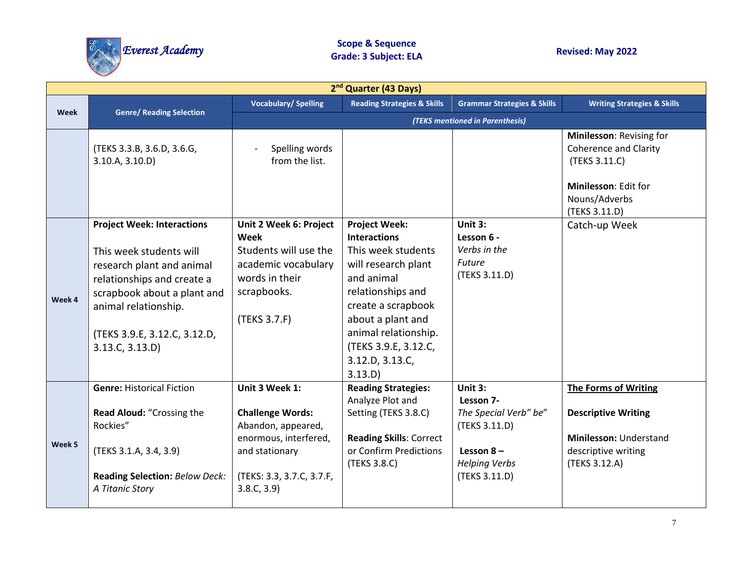

|        | 2 <sup>nd</sup> Quarter (43 Days)                                                                                                                                                                                                 |                                                                                                                                                       |                                                                                                                                                                                                                                                      |                                                                                                                          |                                                                                                                                     |  |  |
|--------|-----------------------------------------------------------------------------------------------------------------------------------------------------------------------------------------------------------------------------------|-------------------------------------------------------------------------------------------------------------------------------------------------------|------------------------------------------------------------------------------------------------------------------------------------------------------------------------------------------------------------------------------------------------------|--------------------------------------------------------------------------------------------------------------------------|-------------------------------------------------------------------------------------------------------------------------------------|--|--|
| Week   | <b>Genre/ Reading Selection</b>                                                                                                                                                                                                   | <b>Vocabulary/Spelling</b>                                                                                                                            | <b>Reading Strategies &amp; Skills</b>                                                                                                                                                                                                               | <b>Grammar Strategies &amp; Skills</b>                                                                                   | <b>Writing Strategies &amp; Skills</b>                                                                                              |  |  |
|        |                                                                                                                                                                                                                                   |                                                                                                                                                       |                                                                                                                                                                                                                                                      | (TEKS mentioned in Parenthesis)                                                                                          |                                                                                                                                     |  |  |
|        | (TEKS 3.3.B, 3.6.D, 3.6.G,<br>3.10.A, 3.10.D                                                                                                                                                                                      | Spelling words<br>from the list.                                                                                                                      |                                                                                                                                                                                                                                                      |                                                                                                                          | Minilesson: Revising for<br><b>Coherence and Clarity</b><br>(TEKS 3.11.C)<br>Minilesson: Edit for<br>Nouns/Adverbs<br>(TEKS 3.11.D) |  |  |
| Week 4 | <b>Project Week: Interactions</b><br>This week students will<br>research plant and animal<br>relationships and create a<br>scrapbook about a plant and<br>animal relationship.<br>(TEKS 3.9.E, 3.12.C, 3.12.D,<br>3.13.C, 3.13.D) | Unit 2 Week 6: Project<br><b>Week</b><br>Students will use the<br>academic vocabulary<br>words in their<br>scrapbooks.<br>(TEKS 3.7.F)                | <b>Project Week:</b><br><b>Interactions</b><br>This week students<br>will research plant<br>and animal<br>relationships and<br>create a scrapbook<br>about a plant and<br>animal relationship.<br>(TEKS 3.9.E, 3.12.C,<br>3.12.D, 3.13.C,<br>3.13.D) | Unit 3:<br>Lesson 6 -<br>Verbs in the<br>Future<br>(TEKS 3.11.D)                                                         | Catch-up Week                                                                                                                       |  |  |
| Week 5 | <b>Genre: Historical Fiction</b><br>Read Aloud: "Crossing the<br>Rockies"<br>(TEKS 3.1.A, 3.4, 3.9)<br><b>Reading Selection: Below Deck:</b><br>A Titanic Story                                                                   | Unit 3 Week 1:<br><b>Challenge Words:</b><br>Abandon, appeared,<br>enormous, interfered,<br>and stationary<br>(TEKS: 3.3, 3.7.C, 3.7.F,<br>3.8.C, 3.9 | <b>Reading Strategies:</b><br>Analyze Plot and<br>Setting (TEKS 3.8.C)<br><b>Reading Skills: Correct</b><br>or Confirm Predictions<br>(TEKS 3.8.C)                                                                                                   | Unit $3:$<br>Lesson 7-<br>The Special Verb" be"<br>(TEKS 3.11.D)<br>Lesson $8-$<br><b>Helping Verbs</b><br>(TEKS 3.11.D) | <b>The Forms of Writing</b><br><b>Descriptive Writing</b><br>Minilesson: Understand<br>descriptive writing<br>(TEKS 3.12.A)         |  |  |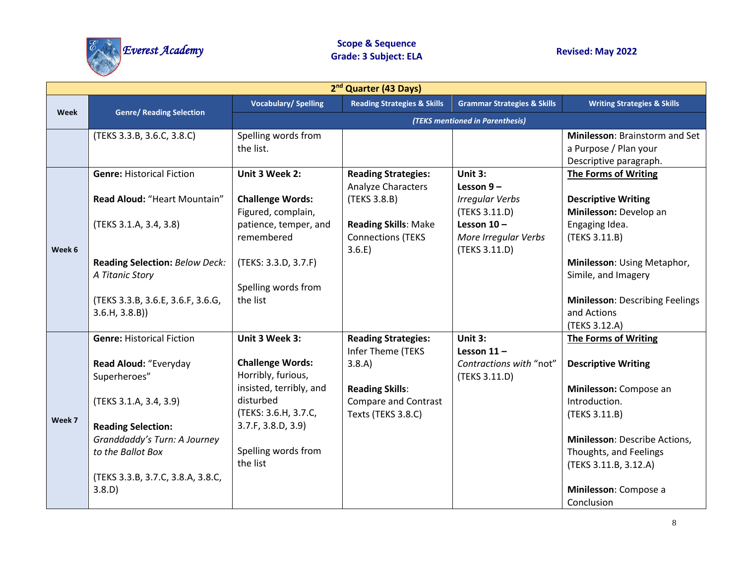

|        | 2 <sup>nd</sup> Quarter (43 Days)                        |                            |                                        |                                        |                                        |  |  |
|--------|----------------------------------------------------------|----------------------------|----------------------------------------|----------------------------------------|----------------------------------------|--|--|
| Week   | <b>Genre/ Reading Selection</b>                          | <b>Vocabulary/Spelling</b> | <b>Reading Strategies &amp; Skills</b> | <b>Grammar Strategies &amp; Skills</b> | <b>Writing Strategies &amp; Skills</b> |  |  |
|        |                                                          |                            |                                        | (TEKS mentioned in Parenthesis)        |                                        |  |  |
|        | (TEKS 3.3.B, 3.6.C, 3.8.C)                               | Spelling words from        |                                        |                                        | Minilesson: Brainstorm and Set         |  |  |
|        |                                                          | the list.                  |                                        |                                        | a Purpose / Plan your                  |  |  |
|        |                                                          |                            |                                        |                                        | Descriptive paragraph.                 |  |  |
|        | <b>Genre: Historical Fiction</b>                         | Unit 3 Week 2:             | <b>Reading Strategies:</b>             | Unit 3:                                | The Forms of Writing                   |  |  |
|        |                                                          |                            | Analyze Characters                     | Lesson $9-$                            |                                        |  |  |
|        | Read Aloud: "Heart Mountain"                             | <b>Challenge Words:</b>    | (TEKS 3.8.B)                           | <b>Irregular Verbs</b>                 | <b>Descriptive Writing</b>             |  |  |
|        |                                                          | Figured, complain,         |                                        | (TEKS 3.11.D)                          | Minilesson: Develop an                 |  |  |
|        | (TEKS 3.1.A, 3.4, 3.8)                                   | patience, temper, and      | <b>Reading Skills: Make</b>            | Lesson $10 -$                          | Engaging Idea.                         |  |  |
|        |                                                          | remembered                 | <b>Connections (TEKS</b>               | More Irregular Verbs                   | (TEKS 3.11.B)                          |  |  |
| Week 6 |                                                          |                            | 3.6.E)                                 | (TEKS 3.11.D)                          | Minilesson: Using Metaphor,            |  |  |
|        | <b>Reading Selection: Below Deck:</b><br>A Titanic Story | (TEKS: 3.3.D, 3.7.F)       |                                        |                                        | Simile, and Imagery                    |  |  |
|        |                                                          | Spelling words from        |                                        |                                        |                                        |  |  |
|        | (TEKS 3.3.B, 3.6.E, 3.6.F, 3.6.G,                        | the list                   |                                        |                                        | <b>Minilesson: Describing Feelings</b> |  |  |
|        | 3.6.H, 3.8.B)                                            |                            |                                        |                                        | and Actions                            |  |  |
|        |                                                          |                            |                                        |                                        | (TEKS 3.12.A)                          |  |  |
|        | <b>Genre: Historical Fiction</b>                         | Unit 3 Week 3:             | <b>Reading Strategies:</b>             | Unit 3:                                | The Forms of Writing                   |  |  |
|        |                                                          |                            | Infer Theme (TEKS                      | Lesson $11 -$                          |                                        |  |  |
|        | Read Aloud: "Everyday                                    | <b>Challenge Words:</b>    | 3.8.A)                                 | Contractions with "not"                | <b>Descriptive Writing</b>             |  |  |
|        | Superheroes"                                             | Horribly, furious,         |                                        | (TEKS 3.11.D)                          |                                        |  |  |
|        |                                                          | insisted, terribly, and    | <b>Reading Skills:</b>                 |                                        | Minilesson: Compose an                 |  |  |
|        | (TEKS 3.1.A, 3.4, 3.9)                                   | disturbed                  | <b>Compare and Contrast</b>            |                                        | Introduction.                          |  |  |
| Week 7 |                                                          | (TEKS: 3.6.H, 3.7.C,       | Texts (TEKS 3.8.C)                     |                                        | (TEKS 3.11.B)                          |  |  |
|        | <b>Reading Selection:</b>                                | 3.7.F, 3.8.D, 3.9          |                                        |                                        |                                        |  |  |
|        | Granddaddy's Turn: A Journey                             |                            |                                        |                                        | Minilesson: Describe Actions,          |  |  |
|        | to the Ballot Box                                        | Spelling words from        |                                        |                                        | Thoughts, and Feelings                 |  |  |
|        |                                                          | the list                   |                                        |                                        | (TEKS 3.11.B, 3.12.A)                  |  |  |
|        | (TEKS 3.3.B, 3.7.C, 3.8.A, 3.8.C,                        |                            |                                        |                                        |                                        |  |  |
|        | 3.8.D)                                                   |                            |                                        |                                        | Minilesson: Compose a                  |  |  |
|        |                                                          |                            |                                        |                                        | Conclusion                             |  |  |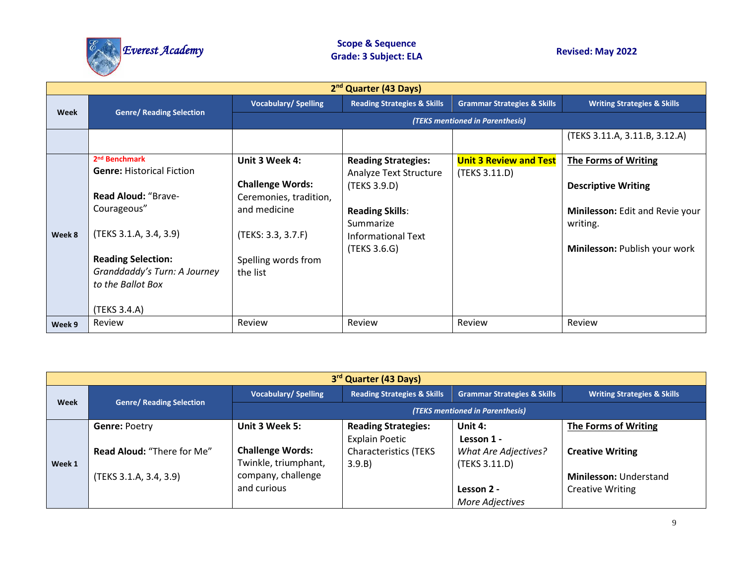

|        | 2 <sup>nd</sup> Quarter (43 Days)                                                                                                                                                                                                      |                                                                                                                                              |                                                                                                                                                   |                                                |                                                                                                                                    |  |  |  |
|--------|----------------------------------------------------------------------------------------------------------------------------------------------------------------------------------------------------------------------------------------|----------------------------------------------------------------------------------------------------------------------------------------------|---------------------------------------------------------------------------------------------------------------------------------------------------|------------------------------------------------|------------------------------------------------------------------------------------------------------------------------------------|--|--|--|
| Week   |                                                                                                                                                                                                                                        | <b>Vocabulary/Spelling</b>                                                                                                                   | <b>Reading Strategies &amp; Skills</b>                                                                                                            | <b>Grammar Strategies &amp; Skills</b>         | <b>Writing Strategies &amp; Skills</b>                                                                                             |  |  |  |
|        | <b>Genre/ Reading Selection</b>                                                                                                                                                                                                        |                                                                                                                                              |                                                                                                                                                   | (TEKS mentioned in Parenthesis)                |                                                                                                                                    |  |  |  |
|        |                                                                                                                                                                                                                                        |                                                                                                                                              |                                                                                                                                                   |                                                | (TEKS 3.11.A, 3.11.B, 3.12.A)                                                                                                      |  |  |  |
| Week 8 | 2 <sup>nd</sup> Benchmark<br><b>Genre: Historical Fiction</b><br><b>Read Aloud: "Brave-</b><br>Courageous"<br>(TEKS 3.1.A, 3.4, 3.9)<br><b>Reading Selection:</b><br>Granddaddy's Turn: A Journey<br>to the Ballot Box<br>(TEKS 3.4.A) | Unit 3 Week 4:<br><b>Challenge Words:</b><br>Ceremonies, tradition,<br>and medicine<br>(TEKS: 3.3, 3.7.F)<br>Spelling words from<br>the list | <b>Reading Strategies:</b><br>Analyze Text Structure<br>(TEKS 3.9.D)<br><b>Reading Skills:</b><br>Summarize<br>Informational Text<br>(TEKS 3.6.G) | <b>Unit 3 Review and Test</b><br>(TEKS 3.11.D) | The Forms of Writing<br><b>Descriptive Writing</b><br>Minilesson: Edit and Revie your<br>writing.<br>Minilesson: Publish your work |  |  |  |
| Week 9 | Review                                                                                                                                                                                                                                 | Review                                                                                                                                       | Review                                                                                                                                            | Review                                         | Review                                                                                                                             |  |  |  |

|        | 3 <sup>rd</sup> Quarter (43 Days) |                                 |                                        |                                        |                                        |  |  |  |  |
|--------|-----------------------------------|---------------------------------|----------------------------------------|----------------------------------------|----------------------------------------|--|--|--|--|
| Week   | <b>Genre/ Reading Selection</b>   | <b>Vocabulary/Spelling</b>      | <b>Reading Strategies &amp; Skills</b> | <b>Grammar Strategies &amp; Skills</b> | <b>Writing Strategies &amp; Skills</b> |  |  |  |  |
|        |                                   | (TEKS mentioned in Parenthesis) |                                        |                                        |                                        |  |  |  |  |
|        | <b>Genre: Poetry</b>              | Unit 3 Week 5:                  | <b>Reading Strategies:</b>             | Unit 4:                                | The Forms of Writing                   |  |  |  |  |
|        |                                   |                                 | <b>Explain Poetic</b>                  | Lesson 1 -                             |                                        |  |  |  |  |
|        | <b>Read Aloud: "There for Me"</b> | <b>Challenge Words:</b>         | <b>Characteristics (TEKS</b>           | <b>What Are Adjectives?</b>            | <b>Creative Writing</b>                |  |  |  |  |
| Week 1 |                                   | Twinkle, triumphant,            | 3.9.B)                                 | (TEKS 3.11.D)                          |                                        |  |  |  |  |
|        | (TEKS 3.1.A, 3.4, 3.9)            | company, challenge              |                                        |                                        | <b>Minilesson: Understand</b>          |  |  |  |  |
|        |                                   | and curious                     |                                        | Lesson 2 -                             | <b>Creative Writing</b>                |  |  |  |  |
|        |                                   |                                 |                                        | More Adjectives                        |                                        |  |  |  |  |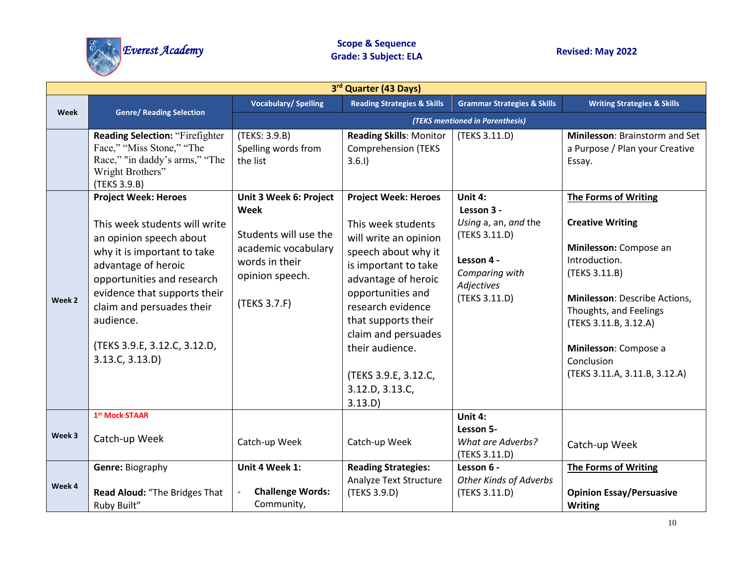

| 3rd Quarter (43 Days) |                                                                                                                                                                                                                                                                                                          |                                                                                                                                     |                                                                                                                                                                                                                                                                                                                   |                                                                                                                               |                                                                                                                                                                                                                                                                                |  |  |
|-----------------------|----------------------------------------------------------------------------------------------------------------------------------------------------------------------------------------------------------------------------------------------------------------------------------------------------------|-------------------------------------------------------------------------------------------------------------------------------------|-------------------------------------------------------------------------------------------------------------------------------------------------------------------------------------------------------------------------------------------------------------------------------------------------------------------|-------------------------------------------------------------------------------------------------------------------------------|--------------------------------------------------------------------------------------------------------------------------------------------------------------------------------------------------------------------------------------------------------------------------------|--|--|
| <b>Week</b>           |                                                                                                                                                                                                                                                                                                          | <b>Vocabulary/Spelling</b>                                                                                                          | <b>Reading Strategies &amp; Skills</b>                                                                                                                                                                                                                                                                            | <b>Grammar Strategies &amp; Skills</b>                                                                                        | <b>Writing Strategies &amp; Skills</b>                                                                                                                                                                                                                                         |  |  |
|                       | <b>Genre/ Reading Selection</b>                                                                                                                                                                                                                                                                          |                                                                                                                                     |                                                                                                                                                                                                                                                                                                                   | (TEKS mentioned in Parenthesis)                                                                                               |                                                                                                                                                                                                                                                                                |  |  |
|                       | <b>Reading Selection: "Firefighter</b><br>Face," "Miss Stone," "The<br>Race," "in daddy's arms," "The<br>Wright Brothers"<br>(TEKS 3.9.B)                                                                                                                                                                | (TEKS: 3.9.B)<br>Spelling words from<br>the list                                                                                    | <b>Reading Skills: Monitor</b><br><b>Comprehension (TEKS</b><br>3.6.1                                                                                                                                                                                                                                             | (TEKS 3.11.D)                                                                                                                 | Minilesson: Brainstorm and Set<br>a Purpose / Plan your Creative<br>Essay.                                                                                                                                                                                                     |  |  |
| Week 2                | <b>Project Week: Heroes</b><br>This week students will write<br>an opinion speech about<br>why it is important to take<br>advantage of heroic<br>opportunities and research<br>evidence that supports their<br>claim and persuades their<br>audience.<br>(TEKS 3.9.E, 3.12.C, 3.12.D,<br>3.13.C, 3.13.D) | Unit 3 Week 6: Project<br>Week<br>Students will use the<br>academic vocabulary<br>words in their<br>opinion speech.<br>(TEKS 3.7.F) | <b>Project Week: Heroes</b><br>This week students<br>will write an opinion<br>speech about why it<br>is important to take<br>advantage of heroic<br>opportunities and<br>research evidence<br>that supports their<br>claim and persuades<br>their audience.<br>(TEKS 3.9.E, 3.12.C,<br>3.12.D, 3.13.C,<br>3.13.D) | Unit 4:<br>Lesson 3 -<br>Using a, an, and the<br>(TEKS 3.11.D)<br>Lesson 4 -<br>Comparing with<br>Adjectives<br>(TEKS 3.11.D) | <b>The Forms of Writing</b><br><b>Creative Writing</b><br>Minilesson: Compose an<br>Introduction.<br>(TEKS 3.11.B)<br>Minilesson: Describe Actions,<br>Thoughts, and Feelings<br>(TEKS 3.11.B, 3.12.A)<br>Minilesson: Compose a<br>Conclusion<br>(TEKS 3.11.A, 3.11.B, 3.12.A) |  |  |
| Week 3                | 1st Mock STAAR<br>Catch-up Week                                                                                                                                                                                                                                                                          | Catch-up Week                                                                                                                       | Catch-up Week                                                                                                                                                                                                                                                                                                     | Unit 4:<br>Lesson 5-<br><b>What are Adverbs?</b><br>(TEKS 3.11.D)                                                             | Catch-up Week                                                                                                                                                                                                                                                                  |  |  |
| Week 4                | <b>Genre: Biography</b><br>Read Aloud: "The Bridges That<br>Ruby Built"                                                                                                                                                                                                                                  | Unit 4 Week 1:<br><b>Challenge Words:</b><br>Community,                                                                             | <b>Reading Strategies:</b><br>Analyze Text Structure<br>(TEKS 3.9.D)                                                                                                                                                                                                                                              | Lesson 6 -<br><b>Other Kinds of Adverbs</b><br>(TEKS 3.11.D)                                                                  | <b>The Forms of Writing</b><br><b>Opinion Essay/Persuasive</b><br><b>Writing</b>                                                                                                                                                                                               |  |  |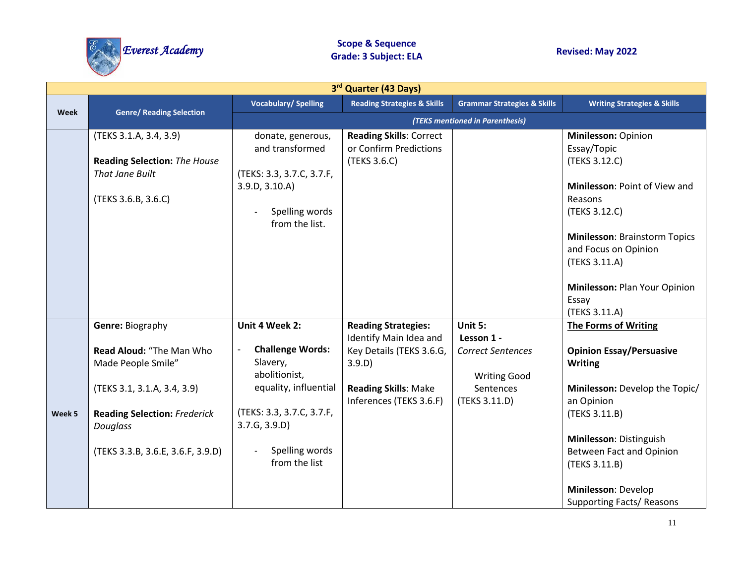

|        | 3rd Quarter (43 Days)                                                                                                                                                                            |                                                                                                                                                                                 |                                                                                                                                                      |                                                                                                        |                                                                                                                                                                                                                                                                                      |  |
|--------|--------------------------------------------------------------------------------------------------------------------------------------------------------------------------------------------------|---------------------------------------------------------------------------------------------------------------------------------------------------------------------------------|------------------------------------------------------------------------------------------------------------------------------------------------------|--------------------------------------------------------------------------------------------------------|--------------------------------------------------------------------------------------------------------------------------------------------------------------------------------------------------------------------------------------------------------------------------------------|--|
|        |                                                                                                                                                                                                  | <b>Vocabulary/Spelling</b>                                                                                                                                                      | <b>Reading Strategies &amp; Skills</b>                                                                                                               | <b>Grammar Strategies &amp; Skills</b>                                                                 | <b>Writing Strategies &amp; Skills</b>                                                                                                                                                                                                                                               |  |
| Week   | <b>Genre/ Reading Selection</b>                                                                                                                                                                  |                                                                                                                                                                                 |                                                                                                                                                      | (TEKS mentioned in Parenthesis)                                                                        |                                                                                                                                                                                                                                                                                      |  |
|        | (TEKS 3.1.A, 3.4, 3.9)<br><b>Reading Selection: The House</b><br><b>That Jane Built</b><br>(TEKS 3.6.B, 3.6.C)                                                                                   | donate, generous,<br>and transformed<br>(TEKS: 3.3, 3.7.C, 3.7.F,<br>3.9.D, 3.10.A)<br>Spelling words<br>from the list.                                                         | <b>Reading Skills: Correct</b><br>or Confirm Predictions<br>(TEKS 3.6.C)                                                                             |                                                                                                        | Minilesson: Opinion<br>Essay/Topic<br>(TEKS 3.12.C)<br>Minilesson: Point of View and<br>Reasons<br>(TEKS 3.12.C)<br><b>Minilesson: Brainstorm Topics</b><br>and Focus on Opinion<br>(TEKS 3.11.A)<br>Minilesson: Plan Your Opinion<br>Essay<br>(TEKS 3.11.A)                         |  |
| Week 5 | <b>Genre: Biography</b><br>Read Aloud: "The Man Who<br>Made People Smile"<br>(TEKS 3.1, 3.1.A, 3.4, 3.9)<br><b>Reading Selection: Frederick</b><br>Douglass<br>(TEKS 3.3.B, 3.6.E, 3.6.F, 3.9.D) | Unit 4 Week 2:<br><b>Challenge Words:</b><br>Slavery,<br>abolitionist,<br>equality, influential<br>(TEKS: 3.3, 3.7.C, 3.7.F,<br>3.7.G, 3.9.D<br>Spelling words<br>from the list | <b>Reading Strategies:</b><br>Identify Main Idea and<br>Key Details (TEKS 3.6.G,<br>3.9.D)<br><b>Reading Skills: Make</b><br>Inferences (TEKS 3.6.F) | Unit 5:<br>Lesson 1 -<br><b>Correct Sentences</b><br><b>Writing Good</b><br>Sentences<br>(TEKS 3.11.D) | <b>The Forms of Writing</b><br><b>Opinion Essay/Persuasive</b><br><b>Writing</b><br>Minilesson: Develop the Topic/<br>an Opinion<br>(TEKS 3.11.B)<br>Minilesson: Distinguish<br>Between Fact and Opinion<br>(TEKS 3.11.B)<br>Minilesson: Develop<br><b>Supporting Facts/ Reasons</b> |  |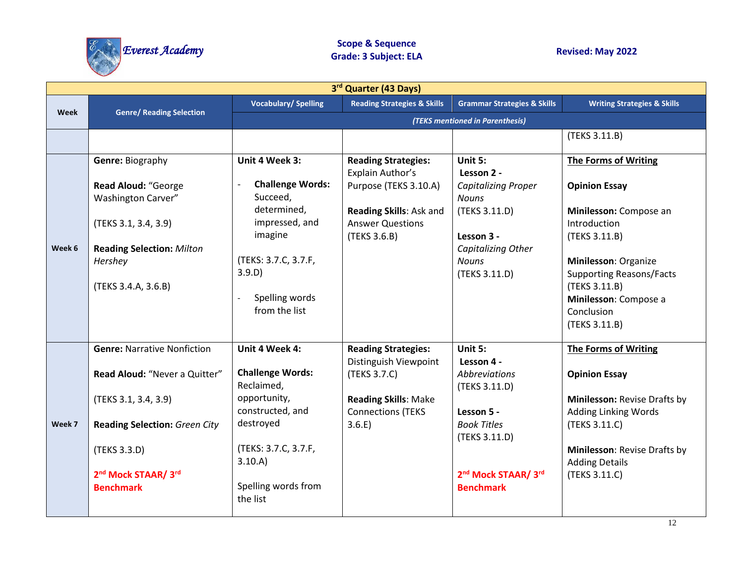

| 3rd Quarter (43 Days) |                                      |                                 |                                         |                                        |                                        |  |
|-----------------------|--------------------------------------|---------------------------------|-----------------------------------------|----------------------------------------|----------------------------------------|--|
|                       |                                      | <b>Vocabulary/Spelling</b>      | <b>Reading Strategies &amp; Skills</b>  | <b>Grammar Strategies &amp; Skills</b> | <b>Writing Strategies &amp; Skills</b> |  |
| <b>Week</b>           | <b>Genre/ Reading Selection</b>      | (TEKS mentioned in Parenthesis) |                                         |                                        |                                        |  |
|                       |                                      |                                 |                                         |                                        | (TEKS 3.11.B)                          |  |
|                       | Genre: Biography                     | Unit 4 Week 3:                  | <b>Reading Strategies:</b>              | Unit $5:$                              | <b>The Forms of Writing</b>            |  |
|                       |                                      |                                 | Explain Author's                        | Lesson 2 -                             |                                        |  |
|                       | Read Aloud: "George                  | <b>Challenge Words:</b>         | Purpose (TEKS 3.10.A)                   | <b>Capitalizing Proper</b>             | <b>Opinion Essay</b>                   |  |
|                       | <b>Washington Carver"</b>            | Succeed,                        |                                         | <b>Nouns</b>                           |                                        |  |
|                       |                                      | determined,                     | Reading Skills: Ask and                 | (TEKS 3.11.D)                          | Minilesson: Compose an                 |  |
|                       | (TEKS 3.1, 3.4, 3.9)                 | impressed, and<br>imagine       | <b>Answer Questions</b><br>(TEKS 3.6.B) | Lesson 3 -                             | Introduction<br>(TEKS 3.11.B)          |  |
| Week 6                | <b>Reading Selection: Milton</b>     |                                 |                                         | Capitalizing Other                     |                                        |  |
|                       | Hershey                              | (TEKS: 3.7.C, 3.7.F,            |                                         | <b>Nouns</b>                           | Minilesson: Organize                   |  |
|                       |                                      | 3.9.D)                          |                                         | (TEKS 3.11.D)                          | <b>Supporting Reasons/Facts</b>        |  |
|                       | (TEKS 3.4.A, 3.6.B)                  | Spelling words                  |                                         |                                        | (TEKS 3.11.B)<br>Minilesson: Compose a |  |
|                       |                                      | from the list                   |                                         |                                        | Conclusion                             |  |
|                       |                                      |                                 |                                         |                                        | (TEKS 3.11.B)                          |  |
|                       |                                      |                                 |                                         |                                        |                                        |  |
|                       | <b>Genre: Narrative Nonfiction</b>   | Unit 4 Week 4:                  | <b>Reading Strategies:</b>              | Unit 5:<br>Lesson 4 -                  | The Forms of Writing                   |  |
|                       | Read Aloud: "Never a Quitter"        | <b>Challenge Words:</b>         | Distinguish Viewpoint<br>(TEKS 3.7.C)   | <b>Abbreviations</b>                   | <b>Opinion Essay</b>                   |  |
|                       |                                      | Reclaimed,                      |                                         | (TEKS 3.11.D)                          |                                        |  |
|                       | (TEKS 3.1, 3.4, 3.9)                 | opportunity,                    | <b>Reading Skills: Make</b>             |                                        | Minilesson: Revise Drafts by           |  |
|                       |                                      | constructed, and<br>destroyed   | <b>Connections (TEKS</b>                | Lesson 5 -                             | <b>Adding Linking Words</b>            |  |
| Week 7                | <b>Reading Selection: Green City</b> |                                 | 3.6.E)                                  | <b>Book Titles</b><br>(TEKS 3.11.D)    | (TEKS 3.11.C)                          |  |
|                       | (TEKS 3.3.D)                         | (TEKS: 3.7.C, 3.7.F,            |                                         |                                        | Minilesson: Revise Drafts by           |  |
|                       |                                      | 3.10.A)                         |                                         |                                        | <b>Adding Details</b>                  |  |
|                       | 2 <sup>nd</sup> Mock STAAR/ 3rd      |                                 |                                         | 2 <sup>nd</sup> Mock STAAR/ 3rd        | (TEKS 3.11.C)                          |  |
|                       | <b>Benchmark</b>                     | Spelling words from<br>the list |                                         | <b>Benchmark</b>                       |                                        |  |
|                       |                                      |                                 |                                         |                                        |                                        |  |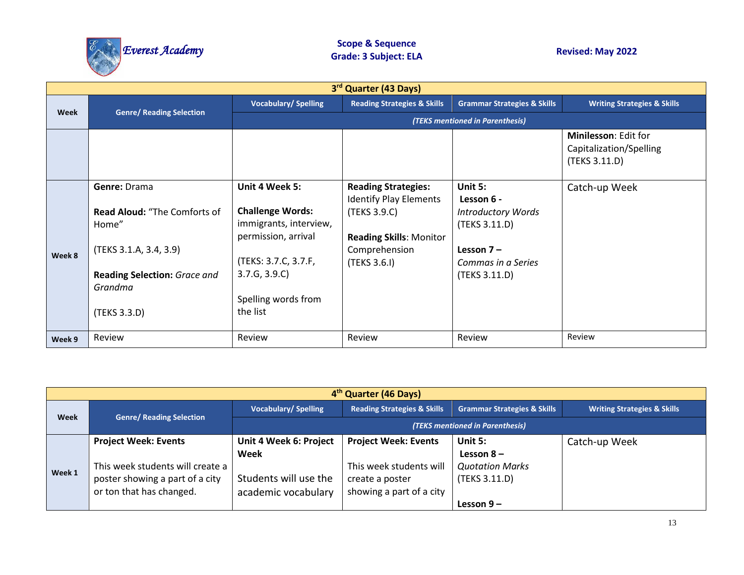

| 3rd Quarter (43 Days) |                                                                                                                                                   |                                                                                                                                                                        |                                                                                                                                                |                                                                                                                            |                                                                  |  |
|-----------------------|---------------------------------------------------------------------------------------------------------------------------------------------------|------------------------------------------------------------------------------------------------------------------------------------------------------------------------|------------------------------------------------------------------------------------------------------------------------------------------------|----------------------------------------------------------------------------------------------------------------------------|------------------------------------------------------------------|--|
|                       |                                                                                                                                                   | <b>Vocabulary/Spelling</b>                                                                                                                                             | <b>Reading Strategies &amp; Skills</b>                                                                                                         | <b>Grammar Strategies &amp; Skills</b>                                                                                     | <b>Writing Strategies &amp; Skills</b>                           |  |
| Week                  | <b>Genre/ Reading Selection</b>                                                                                                                   |                                                                                                                                                                        |                                                                                                                                                | (TEKS mentioned in Parenthesis)                                                                                            |                                                                  |  |
|                       |                                                                                                                                                   |                                                                                                                                                                        |                                                                                                                                                |                                                                                                                            | Minilesson: Edit for<br>Capitalization/Spelling<br>(TEKS 3.11.D) |  |
| Week 8                | Genre: Drama<br><b>Read Aloud: "The Comforts of</b><br>Home"<br>(TEKS 3.1.A, 3.4, 3.9)<br>Reading Selection: Grace and<br>Grandma<br>(TEKS 3.3.D) | Unit 4 Week 5:<br><b>Challenge Words:</b><br>immigrants, interview,<br>permission, arrival<br>(TEKS: 3.7.C, 3.7.F,<br>3.7.G, 3.9.C)<br>Spelling words from<br>the list | <b>Reading Strategies:</b><br><b>Identify Play Elements</b><br>(TEKS 3.9.C)<br><b>Reading Skills: Monitor</b><br>Comprehension<br>(TEKS 3.6.I) | Unit 5:<br>Lesson 6 -<br><b>Introductory Words</b><br>(TEKS 3.11.D)<br>Lesson $7 -$<br>Commas in a Series<br>(TEKS 3.11.D) | Catch-up Week                                                    |  |
| Week 9                | Review                                                                                                                                            | Review                                                                                                                                                                 | Review                                                                                                                                         | Review                                                                                                                     | Review                                                           |  |

| 4 <sup>th</sup> Quarter (46 Days) |                                                                                                                                |                                                                                |                                                                                                       |                                                                   |                                        |  |
|-----------------------------------|--------------------------------------------------------------------------------------------------------------------------------|--------------------------------------------------------------------------------|-------------------------------------------------------------------------------------------------------|-------------------------------------------------------------------|----------------------------------------|--|
|                                   |                                                                                                                                | <b>Vocabulary/Spelling</b>                                                     | <b>Reading Strategies &amp; Skills</b>                                                                | <b>Grammar Strategies &amp; Skills</b>                            | <b>Writing Strategies &amp; Skills</b> |  |
| <b>Week</b>                       | <b>Genre/ Reading Selection</b>                                                                                                |                                                                                |                                                                                                       | (TEKS mentioned in Parenthesis)                                   |                                        |  |
| Week 1                            | <b>Project Week: Events</b><br>This week students will create a<br>poster showing a part of a city<br>or ton that has changed. | Unit 4 Week 6: Project<br>Week<br>Students will use the<br>academic vocabulary | <b>Project Week: Events</b><br>This week students will<br>create a poster<br>showing a part of a city | Unit 5:<br>Lesson $8-$<br><b>Quotation Marks</b><br>(TEKS 3.11.D) | Catch-up Week                          |  |
|                                   |                                                                                                                                |                                                                                |                                                                                                       | Lesson $9-$                                                       |                                        |  |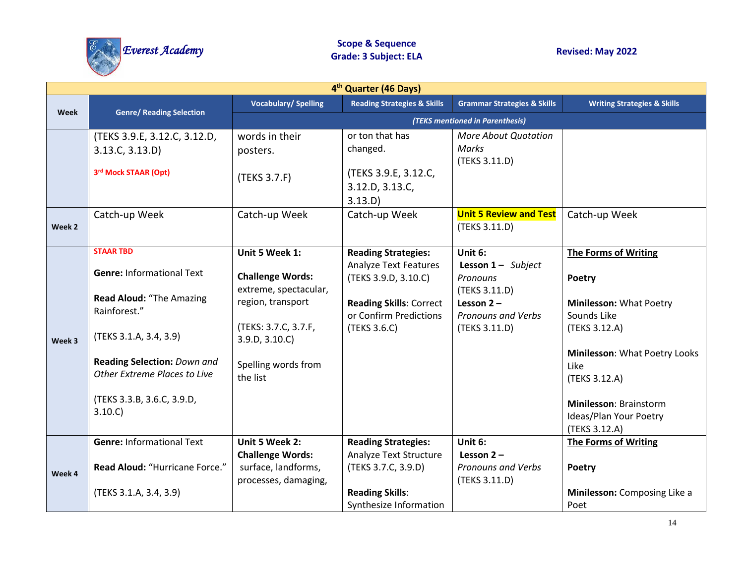

| 4 <sup>th</sup> Quarter (46 Days) |                                                                                                                                                                                                                                    |                                                                                                                                                                     |                                                                                                                                                                |                                                                                                                         |                                                                                                                                                                                                                                 |
|-----------------------------------|------------------------------------------------------------------------------------------------------------------------------------------------------------------------------------------------------------------------------------|---------------------------------------------------------------------------------------------------------------------------------------------------------------------|----------------------------------------------------------------------------------------------------------------------------------------------------------------|-------------------------------------------------------------------------------------------------------------------------|---------------------------------------------------------------------------------------------------------------------------------------------------------------------------------------------------------------------------------|
|                                   |                                                                                                                                                                                                                                    | <b>Vocabulary/Spelling</b>                                                                                                                                          | <b>Reading Strategies &amp; Skills</b>                                                                                                                         | <b>Grammar Strategies &amp; Skills</b>                                                                                  | <b>Writing Strategies &amp; Skills</b>                                                                                                                                                                                          |
| <b>Week</b>                       | <b>Genre/ Reading Selection</b>                                                                                                                                                                                                    |                                                                                                                                                                     |                                                                                                                                                                | (TEKS mentioned in Parenthesis)                                                                                         |                                                                                                                                                                                                                                 |
|                                   | (TEKS 3.9.E, 3.12.C, 3.12.D,<br>3.13.C, 3.13.D)<br>3rd Mock STAAR (Opt)                                                                                                                                                            | words in their<br>posters.<br>(TEKS 3.7.F)                                                                                                                          | or ton that has<br>changed.<br>(TEKS 3.9.E, 3.12.C,<br>3.12.D, 3.13.C,<br>3.13.D)                                                                              | More About Quotation<br>Marks<br>(TEKS 3.11.D)                                                                          |                                                                                                                                                                                                                                 |
| Week 2                            | Catch-up Week                                                                                                                                                                                                                      | Catch-up Week                                                                                                                                                       | Catch-up Week                                                                                                                                                  | <b>Unit 5 Review and Test</b><br>(TEKS 3.11.D)                                                                          | Catch-up Week                                                                                                                                                                                                                   |
| Week 3                            | <b>STAAR TBD</b><br><b>Genre: Informational Text</b><br>Read Aloud: "The Amazing<br>Rainforest."<br>(TEKS 3.1.A, 3.4, 3.9)<br>Reading Selection: Down and<br>Other Extreme Places to Live<br>(TEKS 3.3.B, 3.6.C, 3.9.D,<br>3.10(C) | Unit 5 Week 1:<br><b>Challenge Words:</b><br>extreme, spectacular,<br>region, transport<br>(TEKS: 3.7.C, 3.7.F,<br>3.9.D, 3.10.C<br>Spelling words from<br>the list | <b>Reading Strategies:</b><br><b>Analyze Text Features</b><br>(TEKS 3.9.D, 3.10.C)<br><b>Reading Skills: Correct</b><br>or Confirm Predictions<br>(TEKS 3.6.C) | Unit 6:<br><b>Lesson 1-</b> Subject<br>Pronouns<br>(TEKS 3.11.D)<br>Lesson $2 -$<br>Pronouns and Verbs<br>(TEKS 3.11.D) | The Forms of Writing<br>Poetry<br><b>Minilesson: What Poetry</b><br>Sounds Like<br>(TEKS 3.12.A)<br>Minilesson: What Poetry Looks<br>Like<br>(TEKS 3.12.A)<br>Minilesson: Brainstorm<br>Ideas/Plan Your Poetry<br>(TEKS 3.12.A) |
| Week 4                            | <b>Genre: Informational Text</b><br>Read Aloud: "Hurricane Force."<br>(TEKS 3.1.A, 3.4, 3.9)                                                                                                                                       | Unit 5 Week 2:<br><b>Challenge Words:</b><br>surface, landforms,<br>processes, damaging,                                                                            | <b>Reading Strategies:</b><br>Analyze Text Structure<br>(TEKS 3.7.C, 3.9.D)<br><b>Reading Skills:</b><br>Synthesize Information                                | Unit 6:<br>Lesson $2 -$<br><b>Pronouns and Verbs</b><br>(TEKS 3.11.D)                                                   | <b>The Forms of Writing</b><br>Poetry<br>Minilesson: Composing Like a<br>Poet                                                                                                                                                   |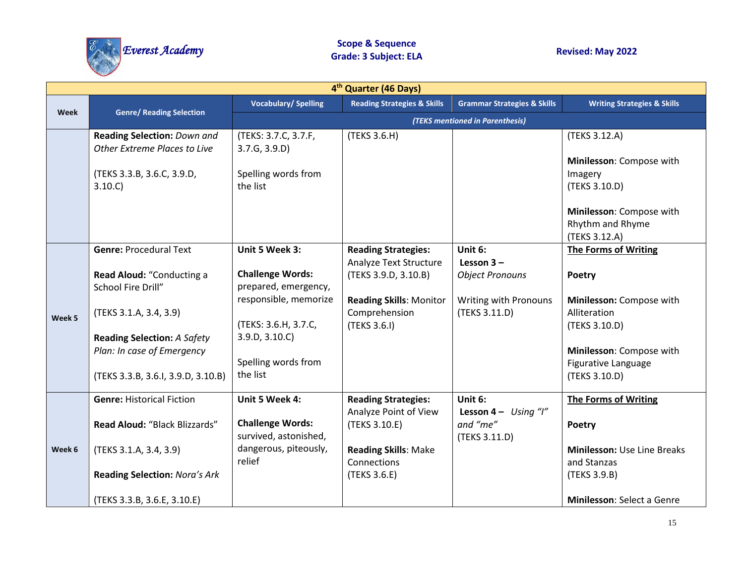

| 4 <sup>th</sup> Quarter (46 Days) |                                                                  |                                                  |                                                                 |                                                      |                                                               |  |
|-----------------------------------|------------------------------------------------------------------|--------------------------------------------------|-----------------------------------------------------------------|------------------------------------------------------|---------------------------------------------------------------|--|
|                                   |                                                                  | <b>Vocabulary/Spelling</b>                       | <b>Reading Strategies &amp; Skills</b>                          | <b>Grammar Strategies &amp; Skills</b>               | <b>Writing Strategies &amp; Skills</b>                        |  |
| <b>Week</b>                       | <b>Genre/ Reading Selection</b>                                  |                                                  |                                                                 | (TEKS mentioned in Parenthesis)                      |                                                               |  |
|                                   | Reading Selection: Down and<br>Other Extreme Places to Live      | (TEKS: 3.7.C, 3.7.F,<br>3.7.G, 3.9.D             | (TEKS 3.6.H)                                                    |                                                      | (TEKS 3.12.A)                                                 |  |
|                                   | (TEKS 3.3.B, 3.6.C, 3.9.D,<br>3.10(C)                            | Spelling words from<br>the list                  |                                                                 |                                                      | Minilesson: Compose with<br>Imagery<br>(TEKS 3.10.D)          |  |
|                                   |                                                                  |                                                  |                                                                 |                                                      | Minilesson: Compose with<br>Rhythm and Rhyme<br>(TEKS 3.12.A) |  |
|                                   | <b>Genre: Procedural Text</b>                                    | Unit 5 Week 3:                                   | <b>Reading Strategies:</b>                                      | Unit 6:                                              | The Forms of Writing                                          |  |
| Week 5                            | Read Aloud: "Conducting a<br>School Fire Drill"                  | <b>Challenge Words:</b><br>prepared, emergency,  | Analyze Text Structure<br>(TEKS 3.9.D, 3.10.B)                  | Lesson $3 -$<br><b>Object Pronouns</b>               | Poetry                                                        |  |
|                                   | (TEKS 3.1.A, 3.4, 3.9)                                           | responsible, memorize<br>(TEKS: 3.6.H, 3.7.C,    | <b>Reading Skills: Monitor</b><br>Comprehension<br>(TEKS 3.6.I) | Writing with Pronouns<br>(TEKS 3.11.D)               | Minilesson: Compose with<br>Alliteration<br>(TEKS 3.10.D)     |  |
|                                   | <b>Reading Selection: A Safety</b><br>Plan: In case of Emergency | 3.9.D, 3.10.C                                    |                                                                 |                                                      | Minilesson: Compose with                                      |  |
|                                   | (TEKS 3.3.B, 3.6.I, 3.9.D, 3.10.B)                               | Spelling words from<br>the list                  |                                                                 |                                                      | Figurative Language<br>(TEKS 3.10.D)                          |  |
|                                   | <b>Genre: Historical Fiction</b>                                 | Unit 5 Week 4:                                   | <b>Reading Strategies:</b>                                      | Unit 6:                                              | <b>The Forms of Writing</b>                                   |  |
|                                   | Read Aloud: "Black Blizzards"                                    | <b>Challenge Words:</b><br>survived, astonished, | Analyze Point of View<br>(TEKS 3.10.E)                          | Lesson $4 - Using '1''$<br>and "me"<br>(TEKS 3.11.D) | Poetry                                                        |  |
| Week 6                            | (TEKS 3.1.A, 3.4, 3.9)                                           | dangerous, piteously,                            | <b>Reading Skills: Make</b>                                     |                                                      | <b>Minilesson: Use Line Breaks</b>                            |  |
|                                   | <b>Reading Selection: Nora's Ark</b>                             | relief                                           | Connections<br>(TEKS 3.6.E)                                     |                                                      | and Stanzas<br>(TEKS 3.9.B)                                   |  |
|                                   | (TEKS 3.3.B, 3.6.E, 3.10.E)                                      |                                                  |                                                                 |                                                      | Minilesson: Select a Genre                                    |  |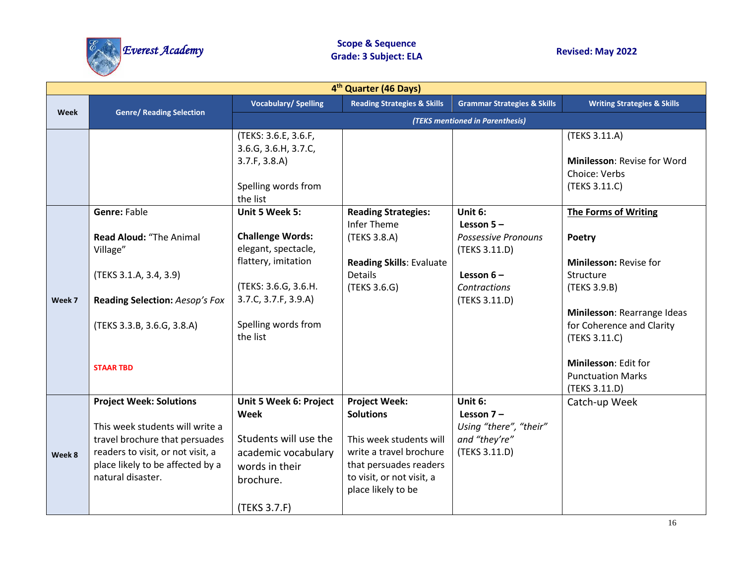

| 4 <sup>th</sup> Quarter (46 Days) |                                                                                                                                                                                                   |                                                                                                                                                                            |                                                                                                                                                                             |                                                                                                                               |                                                                                                                                                                                                                                         |  |
|-----------------------------------|---------------------------------------------------------------------------------------------------------------------------------------------------------------------------------------------------|----------------------------------------------------------------------------------------------------------------------------------------------------------------------------|-----------------------------------------------------------------------------------------------------------------------------------------------------------------------------|-------------------------------------------------------------------------------------------------------------------------------|-----------------------------------------------------------------------------------------------------------------------------------------------------------------------------------------------------------------------------------------|--|
|                                   |                                                                                                                                                                                                   | <b>Vocabulary/Spelling</b>                                                                                                                                                 | <b>Reading Strategies &amp; Skills</b>                                                                                                                                      | <b>Grammar Strategies &amp; Skills</b>                                                                                        | <b>Writing Strategies &amp; Skills</b>                                                                                                                                                                                                  |  |
| <b>Week</b>                       | <b>Genre/ Reading Selection</b>                                                                                                                                                                   |                                                                                                                                                                            | (TEKS mentioned in Parenthesis)                                                                                                                                             |                                                                                                                               |                                                                                                                                                                                                                                         |  |
|                                   |                                                                                                                                                                                                   | (TEKS: 3.6.E, 3.6.F,<br>3.6.G, 3.6.H, 3.7.C,<br>3.7.F, 3.8.A)<br>Spelling words from<br>the list                                                                           |                                                                                                                                                                             |                                                                                                                               | (TEKS 3.11.A)<br>Minilesson: Revise for Word<br>Choice: Verbs<br>(TEKS 3.11.C)                                                                                                                                                          |  |
| Week 7                            | <b>Genre: Fable</b><br><b>Read Aloud: "The Animal</b><br>Village"<br>(TEKS 3.1.A, 3.4, 3.9)<br>Reading Selection: Aesop's Fox<br>(TEKS 3.3.B, 3.6.G, 3.8.A)<br><b>STAAR TBD</b>                   | Unit 5 Week 5:<br><b>Challenge Words:</b><br>elegant, spectacle,<br>flattery, imitation<br>(TEKS: 3.6.G, 3.6.H.<br>3.7.C, 3.7.F, 3.9.A)<br>Spelling words from<br>the list | <b>Reading Strategies:</b><br><b>Infer Theme</b><br>(TEKS 3.8.A)<br><b>Reading Skills: Evaluate</b><br><b>Details</b><br>(TEKS 3.6.G)                                       | Unit 6:<br>Lesson $5 -$<br><b>Possessive Pronouns</b><br>(TEKS 3.11.D)<br>Lesson $6-$<br><b>Contractions</b><br>(TEKS 3.11.D) | The Forms of Writing<br>Poetry<br>Minilesson: Revise for<br>Structure<br>(TEKS 3.9.B)<br>Minilesson: Rearrange Ideas<br>for Coherence and Clarity<br>(TEKS 3.11.C)<br>Minilesson: Edit for<br><b>Punctuation Marks</b><br>(TEKS 3.11.D) |  |
| Week 8                            | <b>Project Week: Solutions</b><br>This week students will write a<br>travel brochure that persuades<br>readers to visit, or not visit, a<br>place likely to be affected by a<br>natural disaster. | Unit 5 Week 6: Project<br>Week<br>Students will use the<br>academic vocabulary<br>words in their<br>brochure.<br>(TEKS 3.7.F)                                              | <b>Project Week:</b><br><b>Solutions</b><br>This week students will<br>write a travel brochure<br>that persuades readers<br>to visit, or not visit, a<br>place likely to be | Unit 6:<br>Lesson $7-$<br>Using "there", "their"<br>and "they're"<br>(TEKS 3.11.D)                                            | Catch-up Week                                                                                                                                                                                                                           |  |